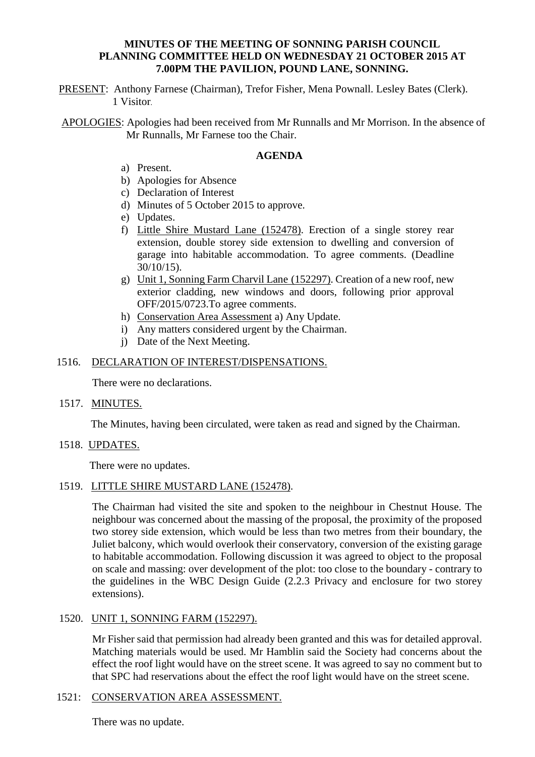## **MINUTES OF THE MEETING OF SONNING PARISH COUNCIL PLANNING COMMITTEE HELD ON WEDNESDAY 21 OCTOBER 2015 AT 7.00PM THE PAVILION, POUND LANE, SONNING.**

PRESENT: Anthony Farnese (Chairman), Trefor Fisher, Mena Pownall. Lesley Bates (Clerk). 1 Visitor.

APOLOGIES: Apologies had been received from Mr Runnalls and Mr Morrison. In the absence of Mr Runnalls, Mr Farnese too the Chair.

#### **AGENDA**

- a) Present.
- b) Apologies for Absence
- c) Declaration of Interest
- d) Minutes of 5 October 2015 to approve.
- e) Updates.
- f) Little Shire Mustard Lane (152478). Erection of a single storey rear extension, double storey side extension to dwelling and conversion of garage into habitable accommodation. To agree comments. (Deadline 30/10/15).
- g) Unit 1, Sonning Farm Charvil Lane (152297). Creation of a new roof, new exterior cladding, new windows and doors, following prior approval OFF/2015/0723.To agree comments.
- h) Conservation Area Assessment a) Any Update.
- i) Any matters considered urgent by the Chairman.
- j) Date of the Next Meeting.

#### 1516. DECLARATION OF INTEREST/DISPENSATIONS.

There were no declarations.

#### 1517. MINUTES.

The Minutes, having been circulated, were taken as read and signed by the Chairman.

1518. UPDATES.

There were no updates.

### 1519. LITTLE SHIRE MUSTARD LANE (152478).

The Chairman had visited the site and spoken to the neighbour in Chestnut House. The neighbour was concerned about the massing of the proposal, the proximity of the proposed two storey side extension, which would be less than two metres from their boundary, the Juliet balcony, which would overlook their conservatory, conversion of the existing garage to habitable accommodation. Following discussion it was agreed to object to the proposal on scale and massing: over development of the plot: too close to the boundary - contrary to the guidelines in the WBC Design Guide (2.2.3 Privacy and enclosure for two storey extensions).

### 1520. UNIT 1, SONNING FARM (152297).

Mr Fisher said that permission had already been granted and this was for detailed approval. Matching materials would be used. Mr Hamblin said the Society had concerns about the effect the roof light would have on the street scene. It was agreed to say no comment but to that SPC had reservations about the effect the roof light would have on the street scene.

### 1521: CONSERVATION AREA ASSESSMENT.

There was no update.